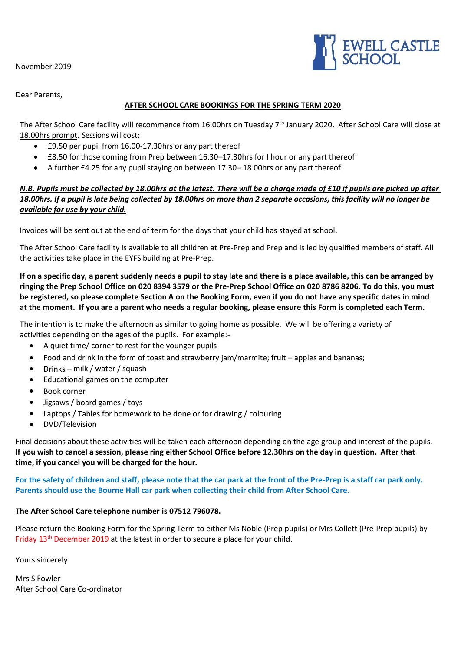November 2019



Dear Parents,

## **AFTER SCHOOL CARE BOOKINGS FOR THE SPRING TERM 2020**

The After School Care facility will recommence from 16.00hrs on Tuesday 7<sup>th</sup> January 2020. After School Care will close at 18.00hrs prompt. Sessions will cost:

- £9.50 per pupil from 16.00-17.30hrs or any part thereof
- £8.50 for those coming from Prep between 16.30–17.30hrs for I hour or any part thereof
- A further £4.25 for any pupil staying on between 17.30– 18.00hrs or any part thereof.

## *N.B. Pupils must be collected by 18.00hrs at the latest. There will be a charge made of £10 if pupils are picked up after 18.00hrs. If a pupil is late being collected by 18.00hrs on more than 2 separate occasions, this facility will no longer be available for use by your child.*

Invoices will be sent out at the end of term for the days that your child has stayed at school.

The After School Care facility is available to all children at Pre-Prep and Prep and is led by qualified members of staff. All the activities take place in the EYFS building at Pre-Prep.

**If on a specific day, a parent suddenly needs a pupil to stay late and there is a place available, this can be arranged by ringing the Prep School Office on 020 8394 3579 or the Pre-Prep School Office on 020 8786 8206. To do this, you must be registered, so please complete Section A on the Booking Form, even if you do not have any specific dates in mind at the moment. If you are a parent who needs a regular booking, please ensure this Form is completed each Term.**

The intention is to make the afternoon as similar to going home as possible. We will be offering a variety of activities depending on the ages of the pupils. For example:-

- A quiet time/ corner to rest for the younger pupils
- Food and drink in the form of toast and strawberry jam/marmite; fruit apples and bananas;
- Drinks milk / water / squash
- Educational games on the computer
- Book corner
- Jigsaws / board games / toys
- Laptops / Tables for homework to be done or for drawing / colouring
- DVD/Television

Final decisions about these activities will be taken each afternoon depending on the age group and interest of the pupils. **If you wish to cancel a session, please ring either School Office before 12.30hrs on the day in question. After that time, if you cancel you will be charged for the hour.**

**For the safety of children and staff, please note that the car park at the front of the Pre-Prep is a staff car park only. Parents should use the Bourne Hall car park when collecting their child from After School Care.**

## **The After School Care telephone number is 07512 796078.**

Please return the Booking Form for the Spring Term to either Ms Noble (Prep pupils) or Mrs Collett (Pre-Prep pupils) by Friday 13<sup>th</sup> December 2019 at the latest in order to secure a place for your child.

Yours sincerely

Mrs S Fowler After School Care Co-ordinator